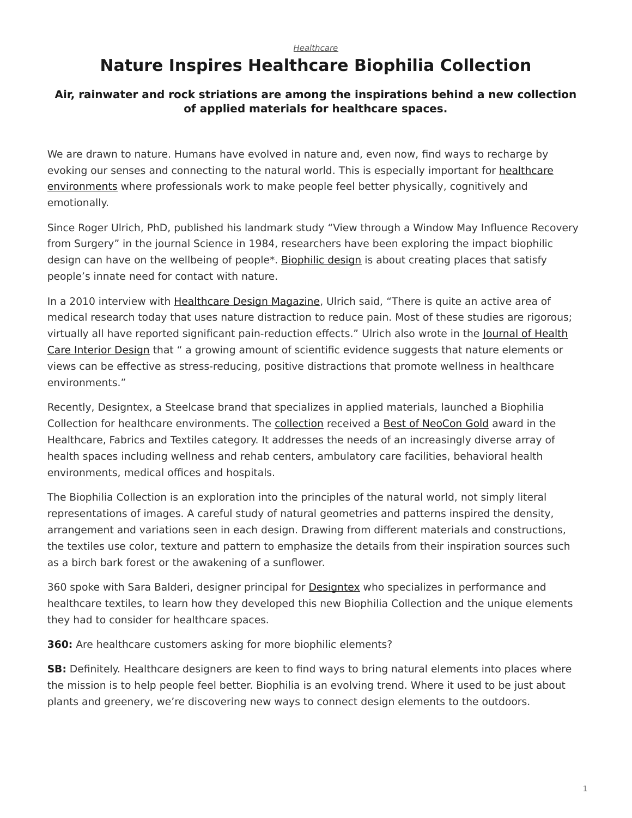## *[Healthcare](https://www.steelcase.com/research/topics/healthcare/)*

## <span id="page-0-0"></span>**Nature Inspires Healthcare Biophilia Collection**

## **Air, rainwater and rock striations are among the inspirations behind a new collection of applied materials for healthcare spaces.**

We are drawn to nature. Humans have evolved in nature and, even now, find ways to recharge by evoking our senses and connecting to the natural world. This is especially important for [healthcare](https://www.steelcase.com/research/articles/the-power-of-place-in-healthcare-environments/) [environments](https://www.steelcase.com/research/articles/the-power-of-place-in-healthcare-environments/) where professionals work to make people feel better physically, cognitively and emotionally.

Since Roger Ulrich, PhD, published his landmark study "View through a Window May Influence Recovery from Surgery" in the journal Science in 1984, researchers have been exploring the impact biophilic design can have on the wellbeing of people\*. [Biophilic design](https://www.steelcase.com/research/articles/topics/wellbeing/dubai-design-finding-value-biophilia/) is about creating places that satisfy people's innate need for contact with nature.

In a 2010 interview with [Healthcare Design Magazine](https://www.healthcaredesignmagazine.com/architecture/conversation-roger-ulrich/), Ulrich said, "There is quite an active area of medical research today that uses nature distraction to reduce pain. Most of these studies are rigorous; virtually all have reported significant pain-reduction effects." Ulrich also wrote in the [Journal of Health](https://www.ncbi.nlm.nih.gov/pubmed/10123973?dopt=Abstract) [Care Interior Design](https://www.ncbi.nlm.nih.gov/pubmed/10123973?dopt=Abstract) that " a growing amount of scientific evidence suggests that nature elements or views can be effective as stress-reducing, positive distractions that promote wellness in healthcare environments."

Recently, Designtex, a Steelcase brand that specializes in applied materials, launched a Biophilia Collection for healthcare environments. The [collection](http://www.designtex.com/products/all-products.html?product-view=large-view) received a [Best of NeoCon Gold](https://www.steelcase.com/research/articles/topics/best-of-neocon/steelcase-receives-top-honors-neocon-2017/) award in the Healthcare, Fabrics and Textiles category. It addresses the needs of an increasingly diverse array of health spaces including wellness and rehab centers, ambulatory care facilities, behavioral health environments, medical offices and hospitals.

The Biophilia Collection is an exploration into the principles of the natural world, not simply literal representations of images. A careful study of natural geometries and patterns inspired the density, arrangement and variations seen in each design. Drawing from different materials and constructions, the textiles use color, texture and pattern to emphasize the details from their inspiration sources such as a birch bark forest or the awakening of a sunflower.

360 spoke with Sara Balderi, designer principal for [Designtex](http://www.designtex.com/) who specializes in performance and healthcare textiles, to learn how they developed this new Biophilia Collection and the unique elements they had to consider for healthcare spaces.

**360:** Are healthcare customers asking for more biophilic elements?

**SB:** Definitely. Healthcare designers are keen to find ways to bring natural elements into places where the mission is to help people feel better. Biophilia is an evolving trend. Where it used to be just about plants and greenery, we're discovering new ways to connect design elements to the outdoors.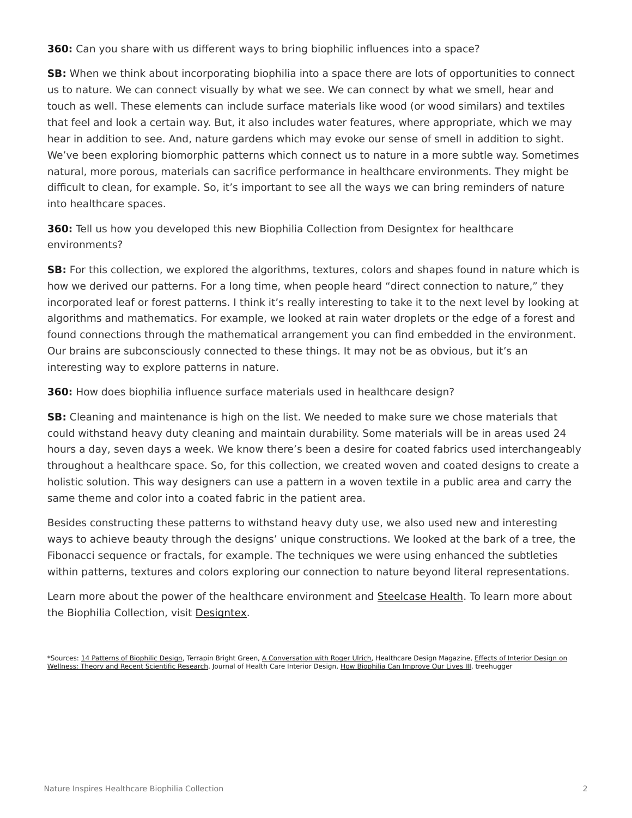**360:** Can you share with us different ways to bring biophilic influences into a space?

**SB:** When we think about incorporating biophilia into a space there are lots of opportunities to connect us to nature. We can connect visually by what we see. We can connect by what we smell, hear and touch as well. These elements can include surface materials like wood (or wood similars) and textiles that feel and look a certain way. But, it also includes water features, where appropriate, which we may hear in addition to see. And, nature gardens which may evoke our sense of smell in addition to sight. We've been exploring biomorphic patterns which connect us to nature in a more subtle way. Sometimes natural, more porous, materials can sacrifice performance in healthcare environments. They might be difficult to clean, for example. So, it's important to see all the ways we can bring reminders of nature into healthcare spaces.

**360:** Tell us how you developed this new Biophilia Collection from Designtex for healthcare environments?

**SB:** For this collection, we explored the algorithms, textures, colors and shapes found in nature which is how we derived our patterns. For a long time, when people heard "direct connection to nature," they incorporated leaf or forest patterns. I think it's really interesting to take it to the next level by looking at algorithms and mathematics. For example, we looked at rain water droplets or the edge of a forest and found connections through the mathematical arrangement you can find embedded in the environment. Our brains are subconsciously connected to these things. It may not be as obvious, but it's an interesting way to explore patterns in nature.

**360:** How does biophilia influence surface materials used in healthcare design?

**SB:** Cleaning and maintenance is high on the list. We needed to make sure we chose materials that could withstand heavy duty cleaning and maintain durability. Some materials will be in areas used 24 hours a day, seven days a week. We know there's been a desire for coated fabrics used interchangeably throughout a healthcare space. So, for this collection, we created woven and coated designs to create a holistic solution. This way designers can use a pattern in a woven textile in a public area and carry the same theme and color into a coated fabric in the patient area.

Besides constructing these patterns to withstand heavy duty use, we also used new and interesting ways to achieve beauty through the designs' unique constructions. We looked at the bark of a tree, the Fibonacci sequence or fractals, for example. The techniques we were using enhanced the subtleties within patterns, textures and colors exploring our connection to nature beyond literal representations.

Learn more about the power of the healthcare environment and [Steelcase Health](https://www.steelcase.com/discover/information/health/). To learn more about the Biophilia Collection, visit [Designtex](http://designtex.com/).

\*Sources: [14 Patterns of Biophilic Design,](https://www.terrapinbrightgreen.com/reports/14-patterns/) Terrapin Bright Green, [A Conversation with Roger Ulrich,](https://www.healthcaredesignmagazine.com/architecture/conversation-roger-ulrich/) Healthcare Design Magazine, [Effects of Interior Design on](https://www.ncbi.nlm.nih.gov/pubmed/10123973?dopt=Abstract) [Wellness: Theory and Recent Scientific Research,](https://www.ncbi.nlm.nih.gov/pubmed/10123973?dopt=Abstract) Journal of Health Care Interior Design, [How Biophilia Can Improve Our Lives III,](https://www.treehugger.com/green-architecture/how-biophilia-can-improve-our-lives-part-iii.html) treehugger